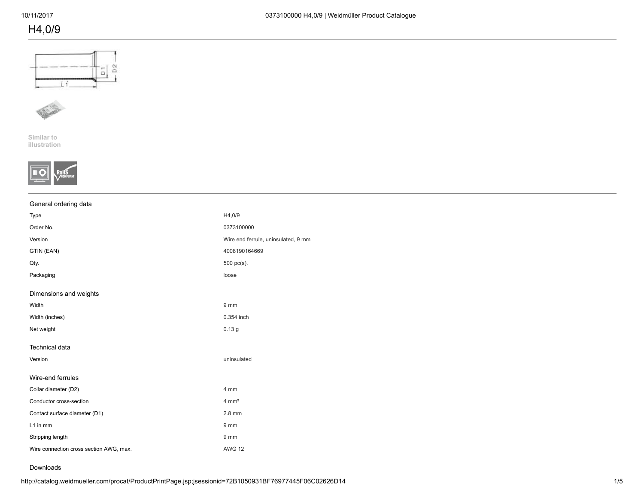# H4,0/9





Similar to [illustration](http://catalog.weidmueller.com/picture/PV_90040600009999.jpg)



### General ordering data

| Type                                    | H4,0/9                              |
|-----------------------------------------|-------------------------------------|
| Order No.                               | 0373100000                          |
| Version                                 | Wire end ferrule, uninsulated, 9 mm |
| GTIN (EAN)                              | 4008190164669                       |
| Qty.                                    | 500 pc(s).                          |
| Packaging                               | loose                               |
| Dimensions and weights                  |                                     |
| Width                                   | $9 \, \text{mm}$                    |
| Width (inches)                          | 0.354 inch                          |
| Net weight                              | 0.13 <sub>g</sub>                   |
| Technical data                          |                                     |
| Version                                 | uninsulated                         |
| Wire-end ferrules                       |                                     |
| Collar diameter (D2)                    | 4 mm                                |
| Conductor cross-section                 | $4 \, \text{mm}^2$                  |
| Contact surface diameter (D1)           | 2.8 mm                              |
| L1 in mm                                | $9 \, \text{mm}$                    |
| Stripping length                        | 9 mm                                |
| Wire connection cross section AWG, max. | <b>AWG 12</b>                       |
|                                         |                                     |

#### Downloads

http://catalog.weidmueller.com/procat/ProductPrintPage.jsp;jsessionid=72B1050931BF76977445F06C02626D14 1/5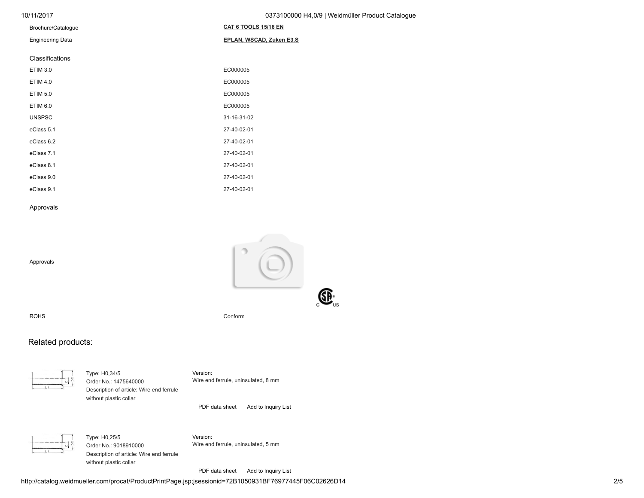| 10/11/2017 | 0373100000 H4,0/9   Weidmüller Product Catalogue |
|------------|--------------------------------------------------|
|            |                                                  |

| Brochure/Catalogue      | CAT 6 TOOLS 15/16 EN     |
|-------------------------|--------------------------|
| <b>Engineering Data</b> | EPLAN, WSCAD, Zuken E3.S |
| Classifications         |                          |
| <b>ETIM 3.0</b>         | EC000005                 |
| <b>ETIM 4.0</b>         | EC000005                 |
| <b>ETIM 5.0</b>         | EC000005                 |
| <b>ETIM 6.0</b>         | EC000005                 |
| <b>UNSPSC</b>           | 31-16-31-02              |
| eClass 5.1              | 27-40-02-01              |
| eClass 6.2              | 27-40-02-01              |
| eClass 7.1              | 27-40-02-01              |
| eClass 8.1              | 27-40-02-01              |
| eClass 9.0              | 27-40-02-01              |
| eClass 9.1              | 27-40-02-01              |

#### Approvals

Approvals



ROHS Conform

## Related products:

| --                 |                   |         |
|--------------------|-------------------|---------|
| <b>STATE STATE</b> | <b>STATISTICS</b> |         |
| <b>STATISTICS</b>  | 33                | -3<br>۷ |

Type: H0,34/5 Order No.: 1475640000 Description of article: Wire end ferrule without plastic collar Version: Wire end ferrule, uninsulated, 8 mm

[PDF data sheet](javascript:openDatasheetDownload() [Add to Inquiry List](javascript:wow_add_catalog_article( )

Type: H0,25/5 Order No.: 9018910000 Description of article: Wire end ferrule without plastic collar

Version: Wire end ferrule, uninsulated, 5 mm

[PDF data sheet](javascript:openDatasheetDownload() [Add to Inquiry List](javascript:wow_add_catalog_article( )

http://catalog.weidmueller.com/procat/ProductPrintPage.jsp;jsessionid=72B1050931BF76977445F06C02626D14 2/5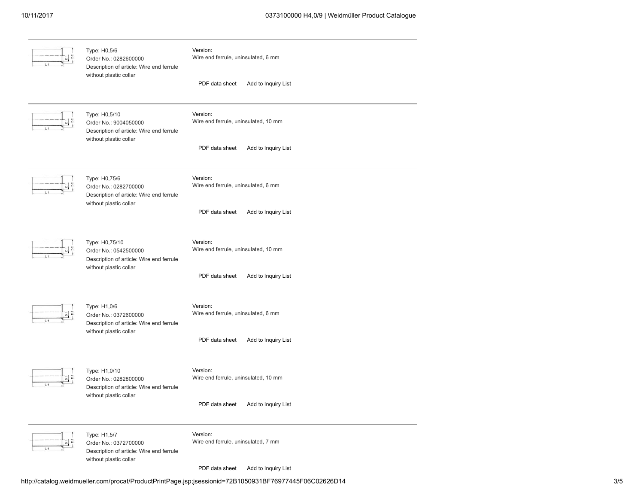### 10/11/2017 0373100000 H4,0/9 | Weidmüller Product Catalogue

| Type: H0,5/6<br>Order No.: 0282600000<br>Description of article: Wire end ferrule<br>without plastic collar   | Version:<br>Wire end ferrule, uninsulated, 6 mm<br>PDF data sheet<br>Add to Inquiry List  |  |
|---------------------------------------------------------------------------------------------------------------|-------------------------------------------------------------------------------------------|--|
| Type: H0,5/10<br>Order No.: 9004050000<br>Description of article: Wire end ferrule<br>without plastic collar  | Version:<br>Wire end ferrule, uninsulated, 10 mm<br>PDF data sheet<br>Add to Inquiry List |  |
| Type: H0,75/6<br>Order No.: 0282700000<br>Description of article: Wire end ferrule<br>without plastic collar  | Version:<br>Wire end ferrule, uninsulated, 6 mm<br>PDF data sheet<br>Add to Inquiry List  |  |
| Type: H0,75/10<br>Order No.: 0542500000<br>Description of article: Wire end ferrule<br>without plastic collar | Version:<br>Wire end ferrule, uninsulated, 10 mm<br>PDF data sheet<br>Add to Inquiry List |  |
| Type: H1,0/6<br>Order No.: 0372600000<br>Description of article: Wire end ferrule<br>without plastic collar   | Version:<br>Wire end ferrule, uninsulated, 6 mm<br>PDF data sheet<br>Add to Inquiry List  |  |
| Type: H1,0/10<br>Order No.: 0282800000<br>Description of article: Wire end ferrule<br>without plastic collar  | Version:<br>Wire end ferrule, uninsulated, 10 mm<br>PDF data sheet Add to Inquiry List    |  |
| Type: H1,5/7<br>Order No.: 0372700000<br>Description of article: Wire end ferrule<br>without plastic collar   | Version:<br>Wire end ferrule, uninsulated, 7 mm<br>PDF data sheet<br>Add to Inquiry List  |  |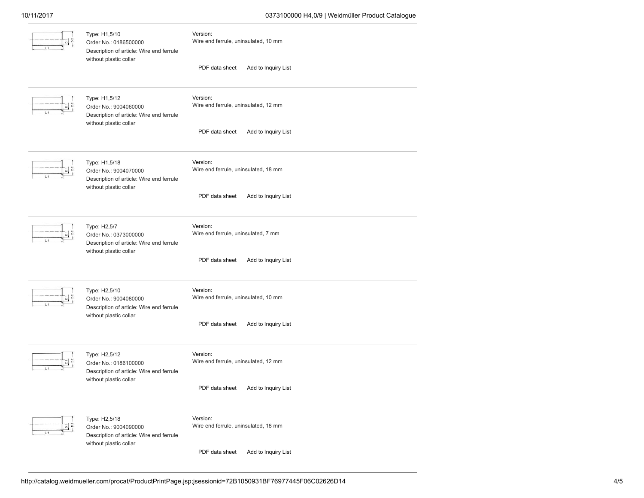### 10/11/2017 0373100000 H4,0/9 | Weidmüller Product Catalogue

| Type: H1,5/10<br>Order No.: 0186500000<br>Description of article: Wire end ferrule<br>without plastic collar | Version:<br>Wire end ferrule, uninsulated, 10 mm |  |
|--------------------------------------------------------------------------------------------------------------|--------------------------------------------------|--|
|                                                                                                              | PDF data sheet<br>Add to Inquiry List            |  |
| Type: H1,5/12<br>Order No.: 9004060000<br>Description of article: Wire end ferrule<br>without plastic collar | Version:<br>Wire end ferrule, uninsulated, 12 mm |  |
|                                                                                                              | PDF data sheet<br>Add to Inquiry List            |  |
| Type: H1,5/18<br>Order No.: 9004070000<br>Description of article: Wire end ferrule<br>without plastic collar | Version:<br>Wire end ferrule, uninsulated, 18 mm |  |
|                                                                                                              | PDF data sheet<br>Add to Inquiry List            |  |
| Type: H2,5/7<br>Order No.: 0373000000<br>Description of article: Wire end ferrule<br>without plastic collar  | Version:<br>Wire end ferrule, uninsulated, 7 mm  |  |
|                                                                                                              | Add to Inquiry List<br>PDF data sheet            |  |
| Type: H2,5/10<br>Order No.: 9004080000<br>Description of article: Wire end ferrule<br>without plastic collar | Version:<br>Wire end ferrule, uninsulated, 10 mm |  |
|                                                                                                              | Add to Inquiry List<br>PDF data sheet            |  |
| Type: H2,5/12<br>Order No.: 0186100000<br>Description of article: Wire end ferrule<br>without plastic collar | Version:<br>Wire end ferrule, uninsulated, 12 mm |  |
|                                                                                                              | PDF data sheet<br>Add to Inquiry List            |  |
| Type: H2,5/18<br>Order No.: 9004090000<br>Description of article: Wire end ferrule<br>without plastic collar | Version:<br>Wire end ferrule, uninsulated, 18 mm |  |
|                                                                                                              | PDF data sheet<br>Add to Inquiry List            |  |